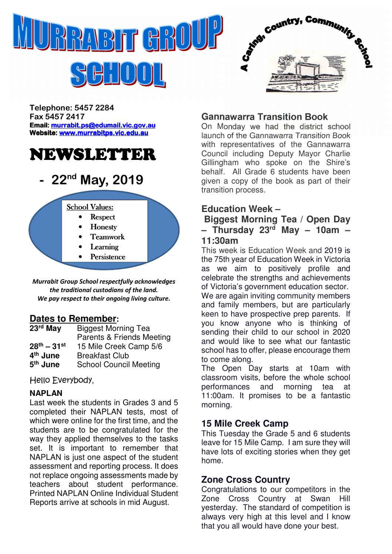



 $H^1_1[0]1]$ 

Telephone: 5457 2284 Fax 5457 2417 Email: murrabit.ps@edumail.vic.gov.au Website: www.murrabitps.vic.edu.au

# NEWSLETTER

## 22<sup>nd</sup> May, 2019



Murrabit Group School respectfully acknowledges the traditional custodians of the land. We pay respect to their ongoing living culture.

## **Dates to Remember:**

| 23rd May             | <b>Biggest Morning Tea</b>           |
|----------------------|--------------------------------------|
|                      | <b>Parents &amp; Friends Meeting</b> |
| $28^{th} - 31^{st}$  | 15 Mile Creek Camp 5/6               |
| 4 <sup>th</sup> June | <b>Breakfast Club</b>                |
| 5 <sup>th</sup> June | <b>School Council Meeting</b>        |

Hello Everybody,

#### **NAPLAN**

Last week the students in Grades 3 and 5 completed their NAPLAN tests, most of which were online for the first time, and the students are to be congratulated for the way they applied themselves to the tasks set. It is important to remember that NAPLAN is just one aspect of the student assessment and reporting process. It does not replace ongoing assessments made by teachers about student performance. Printed NAPLAN Online Individual Student Reports arrive at schools in mid August.

## **Gannawarra Transition Book**

On Monday we had the district school launch of the Gannawarra Transition Book with representatives of the Gannawarra Council including Deputy Mayor Charlie Gillingham who spoke on the Shire's behalf. All Grade 6 students have been given a copy of the book as part of their transition process.

## **Education Week –**

 **Biggest Morning Tea / Open Day – Thursday 23rd May – 10am – 11:30am** 

This week is Education Week and 2019 is the 75th year of Education Week in Victoria as we aim to positively profile and celebrate the strengths and achievements of Victoria's government education sector. We are again inviting community members and family members, but are particularly keen to have prospective prep parents. If you know anyone who is thinking of sending their child to our school in 2020 and would like to see what our fantastic school has to offer, please encourage them to come along.

The Open Day starts at 10am with classroom visits, before the whole school performances and morning tea at 11:00am. It promises to be a fantastic morning.

## **15 Mile Creek Camp**

This Tuesday the Grade 5 and 6 students leave for 15 Mile Camp. I am sure they will have lots of exciting stories when they get home.

## **Zone Cross Country**

Congratulations to our competitors in the Zone Cross Country at Swan Hill yesterday. The standard of competition is always very high at this level and I know that you all would have done your best.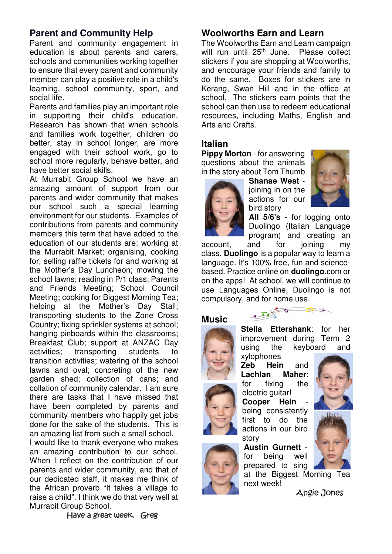## **Parent and Community Help**

Parent and community engagement in education is about parents and carers, schools and communities working together to ensure that every parent and community member can play a positive role in a child's learning, school community, sport, and social life.

Parents and families play an important role in supporting their child's education. Research has shown that when schools and families work together, children do better, stay in school longer, are more engaged with their school work, go to school more regularly, behave better, and have better social skills.

At Murrabit Group School we have an amazing amount of support from our parents and wider community that makes our school such a special learning environment for our students. Examples of contributions from parents and community members this term that have added to the education of our students are: working at the Murrabit Market; organising, cooking for, selling raffle tickets for and working at the Mother's Day Luncheon; mowing the school lawns; reading in P/1 class; Parents and Friends Meeting; School Council Meeting; cooking for Biggest Morning Tea; helping at the Mother's Day Stall: transporting students to the Zone Cross Country; fixing sprinkler systems at school; hanging pinboards within the classrooms; Breakfast Club; support at ANZAC Day activities; transporting students to transition activities; watering of the school lawns and oval; concreting of the new garden shed; collection of cans; and collation of community calendar. I am sure there are tasks that I have missed that have been completed by parents and community members who happily get jobs done for the sake of the students. This is an amazing list from such a small school.

I would like to thank everyone who makes an amazing contribution to our school. When I reflect on the contribution of our parents and wider community, and that of our dedicated staff, it makes me think of the African proverb "It takes a village to raise a child". I think we do that very well at Murrabit Group School.

#### **Woolworths Earn and Learn**

The Woolworths Earn and Learn campaign will run until 25<sup>th</sup> June. Please collect stickers if you are shopping at Woolworths, and encourage your friends and family to do the same. Boxes for stickers are in Kerang, Swan Hill and in the office at school. The stickers earn points that the school can then use to redeem educational resources, including Maths, English and Arts and Crafts.

#### **Italian**

**Pippy Morton** - for answering questions about the animals in the story about Tom Thumb

> **Shanae West** joining in on the actions for our bird story



**All 5/6's** - for logging onto Duolingo (Italian Language program) and creating an

account, and for joining my class. **Duolingo** is a popular way to learn a language. It's 100% free, fun and sciencebased. Practice online on **duolingo**.com or on the apps! At school, we will continue to use Languages Online, Duolingo is not compulsory, and for home use.

#### **Music**





**Zeb Hein** and **Lachlan Maher**: for fixing the electric guitar! **Cooper Hein** being consistently first to do the actions in our bird story

**Austin Gurnett** for being well prepared to sing



at the Biggest Morning Tea next week!

Angie Jones

Have a great week, Greg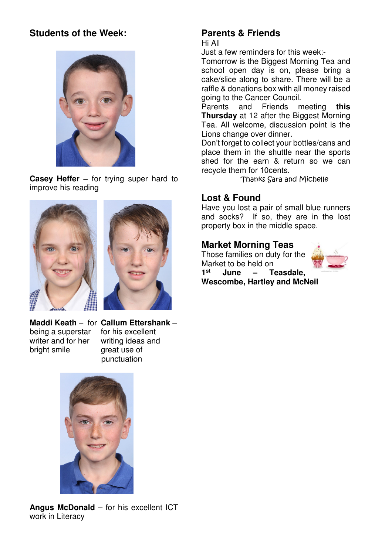## **Students of the Week:**



**Casey Heffer –** for trying super hard to improve his reading





**Maddi Keath** – for **Callum Ettershank** – being a superstar for his excellent writer and for her writing ideas and bright smile great use of

punctuation



**Angus McDonald** – for his excellent ICT work in Literacy

#### **Parents & Friends**  Hi All

Just a few reminders for this week:-

Tomorrow is the Biggest Morning Tea and school open day is on, please bring a cake/slice along to share. There will be a raffle & donations box with all money raised going to the Cancer Council.

Parents and Friends meeting **this Thursday** at 12 after the Biggest Morning Tea. All welcome, discussion point is the Lions change over dinner.

Don't forget to collect your bottles/cans and place them in the shuttle near the sports shed for the earn & return so we can recycle them for 10cents.

Thanks Sara and Michelle

#### **Lost & Found**

Have you lost a pair of small blue runners and socks? If so, they are in the lost property box in the middle space.

#### **Market Morning Teas**

Those families on duty for the Market to be held on **1 st June – Teasdale, Wescombe, Hartley and McNeil**